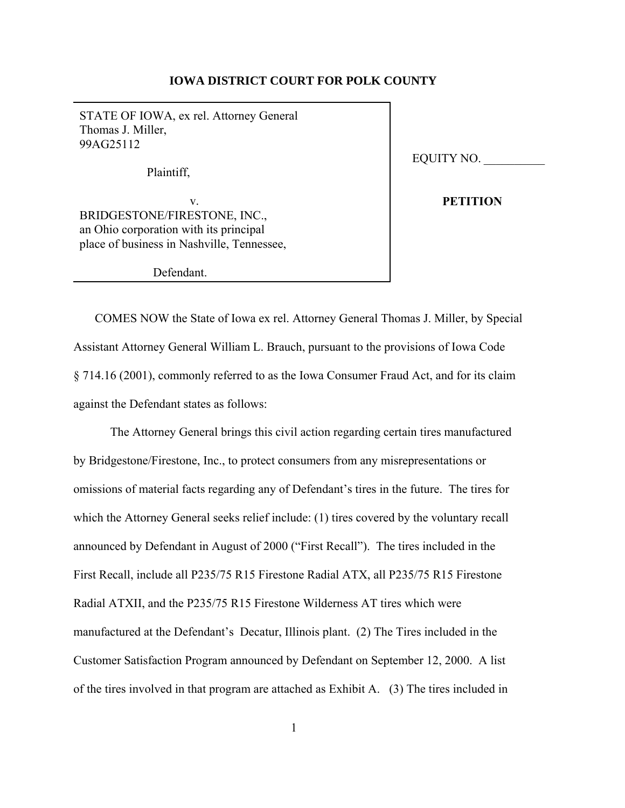# **IOWA DISTRICT COURT FOR POLK COUNTY**

STATE OF IOWA, ex rel. Attorney General Thomas J. Miller, 99AG25112

Plaintiff,

v. BRIDGESTONE/FIRESTONE, INC., an Ohio corporation with its principal place of business in Nashville, Tennessee,

Defendant.

EQUITY NO. \_\_\_\_\_\_\_\_\_\_

**PETITION**

 COMES NOW the State of Iowa ex rel. Attorney General Thomas J. Miller, by Special Assistant Attorney General William L. Brauch, pursuant to the provisions of Iowa Code § 714.16 (2001), commonly referred to as the Iowa Consumer Fraud Act, and for its claim against the Defendant states as follows:

The Attorney General brings this civil action regarding certain tires manufactured by Bridgestone/Firestone, Inc., to protect consumers from any misrepresentations or omissions of material facts regarding any of Defendant's tires in the future. The tires for which the Attorney General seeks relief include: (1) tires covered by the voluntary recall announced by Defendant in August of 2000 ("First Recall"). The tires included in the First Recall, include all P235/75 R15 Firestone Radial ATX, all P235/75 R15 Firestone Radial ATXII, and the P235/75 R15 Firestone Wilderness AT tires which were manufactured at the Defendant's Decatur, Illinois plant. (2) The Tires included in the Customer Satisfaction Program announced by Defendant on September 12, 2000. A list of the tires involved in that program are attached as Exhibit A. (3) The tires included in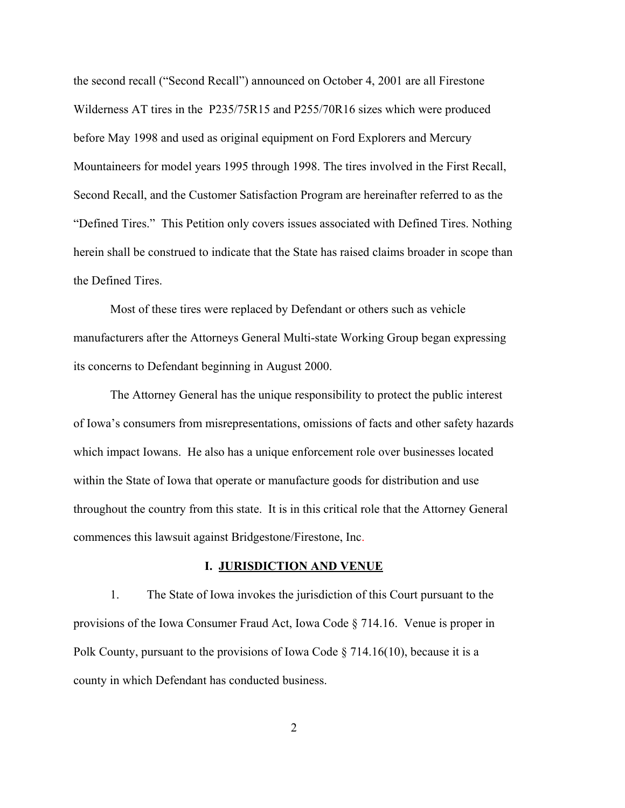the second recall ("Second Recall") announced on October 4, 2001 are all Firestone Wilderness AT tires in the P235/75R15 and P255/70R16 sizes which were produced before May 1998 and used as original equipment on Ford Explorers and Mercury Mountaineers for model years 1995 through 1998. The tires involved in the First Recall, Second Recall, and the Customer Satisfaction Program are hereinafter referred to as the "Defined Tires." This Petition only covers issues associated with Defined Tires. Nothing herein shall be construed to indicate that the State has raised claims broader in scope than the Defined Tires.

Most of these tires were replaced by Defendant or others such as vehicle manufacturers after the Attorneys General Multi-state Working Group began expressing its concerns to Defendant beginning in August 2000.

The Attorney General has the unique responsibility to protect the public interest of Iowa's consumers from misrepresentations, omissions of facts and other safety hazards which impact Iowans. He also has a unique enforcement role over businesses located within the State of Iowa that operate or manufacture goods for distribution and use throughout the country from this state. It is in this critical role that the Attorney General commences this lawsuit against Bridgestone/Firestone, Inc.

## **I. JURISDICTION AND VENUE**

1. The State of Iowa invokes the jurisdiction of this Court pursuant to the provisions of the Iowa Consumer Fraud Act, Iowa Code § 714.16. Venue is proper in Polk County, pursuant to the provisions of Iowa Code  $\S 714.16(10)$ , because it is a county in which Defendant has conducted business.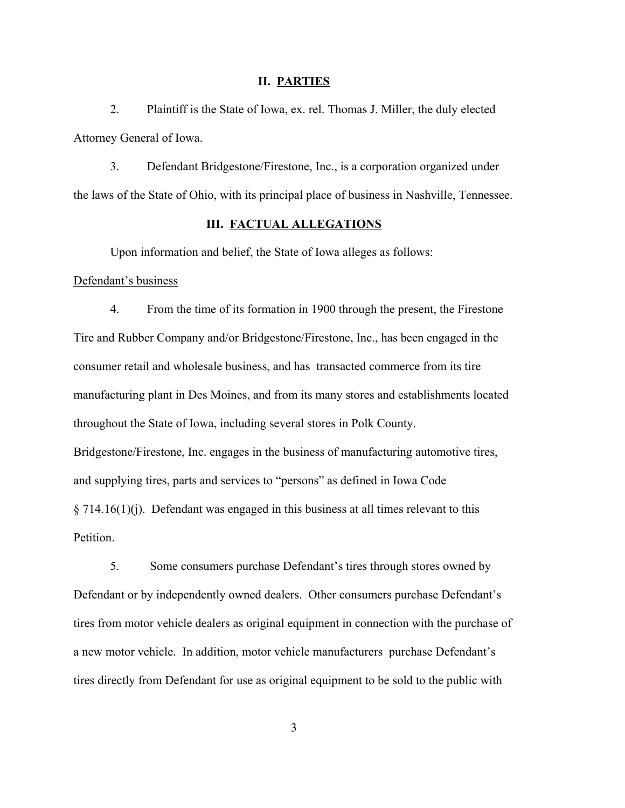#### **II. PARTIES**

2. Plaintiff is the State of Iowa, ex. rel. Thomas J. Miller, the duly elected Attorney General of Iowa.

3. Defendant Bridgestone/Firestone, Inc., is a corporation organized under the laws of the State of Ohio, with its principal place of business in Nashville, Tennessee.

# **III. FACTUAL ALLEGATIONS**

Upon information and belief, the State of Iowa alleges as follows:

## Defendant's business

4. From the time of its formation in 1900 through the present, the Firestone Tire and Rubber Company and/or Bridgestone/Firestone, Inc., has been engaged in the consumer retail and wholesale business, and has transacted commerce from its tire manufacturing plant in Des Moines, and from its many stores and establishments located throughout the State of Iowa, including several stores in Polk County. Bridgestone/Firestone, Inc. engages in the business of manufacturing automotive tires, and supplying tires, parts and services to "persons" as defined in Iowa Code  $\S 714.16(1)(j)$ . Defendant was engaged in this business at all times relevant to this Petition.

5. Some consumers purchase Defendant's tires through stores owned by Defendant or by independently owned dealers. Other consumers purchase Defendant's tires from motor vehicle dealers as original equipment in connection with the purchase of a new motor vehicle. In addition, motor vehicle manufacturers purchase Defendant's tires directly from Defendant for use as original equipment to be sold to the public with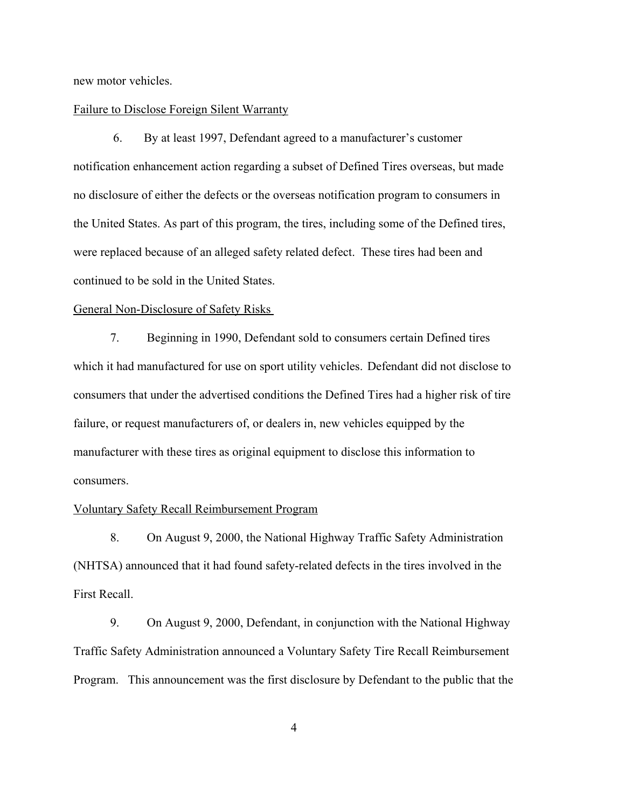new motor vehicles.

## Failure to Disclose Foreign Silent Warranty

 6. By at least 1997, Defendant agreed to a manufacturer's customer notification enhancement action regarding a subset of Defined Tires overseas, but made no disclosure of either the defects or the overseas notification program to consumers in the United States. As part of this program, the tires, including some of the Defined tires, were replaced because of an alleged safety related defect. These tires had been and continued to be sold in the United States.

# General Non-Disclosure of Safety Risks

7. Beginning in 1990, Defendant sold to consumers certain Defined tires which it had manufactured for use on sport utility vehicles. Defendant did not disclose to consumers that under the advertised conditions the Defined Tires had a higher risk of tire failure, or request manufacturers of, or dealers in, new vehicles equipped by the manufacturer with these tires as original equipment to disclose this information to consumers.

#### Voluntary Safety Recall Reimbursement Program

8. On August 9, 2000, the National Highway Traffic Safety Administration (NHTSA) announced that it had found safety-related defects in the tires involved in the First Recall.

9. On August 9, 2000, Defendant, in conjunction with the National Highway Traffic Safety Administration announced a Voluntary Safety Tire Recall Reimbursement Program. This announcement was the first disclosure by Defendant to the public that the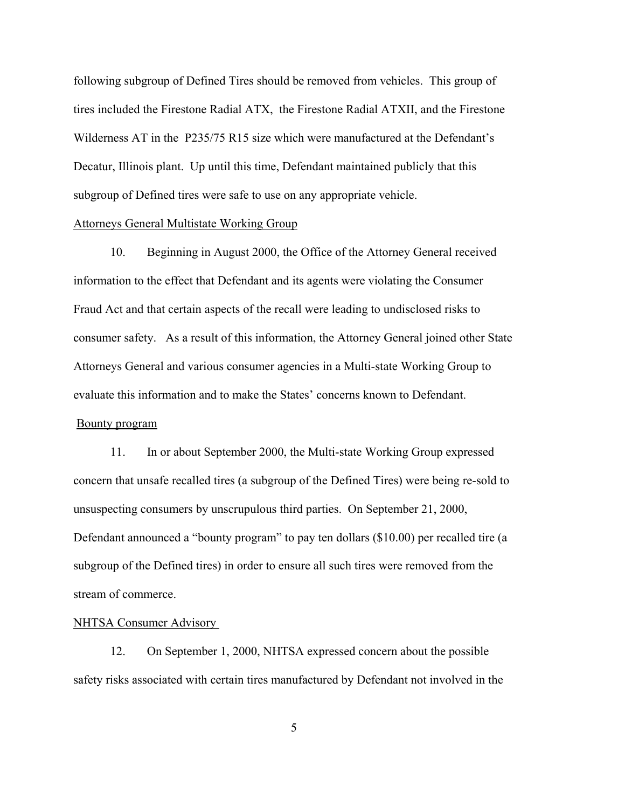following subgroup of Defined Tires should be removed from vehicles. This group of tires included the Firestone Radial ATX, the Firestone Radial ATXII, and the Firestone Wilderness AT in the P235/75 R15 size which were manufactured at the Defendant's Decatur, Illinois plant. Up until this time, Defendant maintained publicly that this subgroup of Defined tires were safe to use on any appropriate vehicle.

# Attorneys General Multistate Working Group

10. Beginning in August 2000, the Office of the Attorney General received information to the effect that Defendant and its agents were violating the Consumer Fraud Act and that certain aspects of the recall were leading to undisclosed risks to consumer safety. As a result of this information, the Attorney General joined other State Attorneys General and various consumer agencies in a Multi-state Working Group to evaluate this information and to make the States' concerns known to Defendant. Bounty program

11. In or about September 2000, the Multi-state Working Group expressed concern that unsafe recalled tires (a subgroup of the Defined Tires) were being re-sold to unsuspecting consumers by unscrupulous third parties. On September 21, 2000, Defendant announced a "bounty program" to pay ten dollars (\$10.00) per recalled tire (a subgroup of the Defined tires) in order to ensure all such tires were removed from the stream of commerce.

## NHTSA Consumer Advisory

12. On September 1, 2000, NHTSA expressed concern about the possible safety risks associated with certain tires manufactured by Defendant not involved in the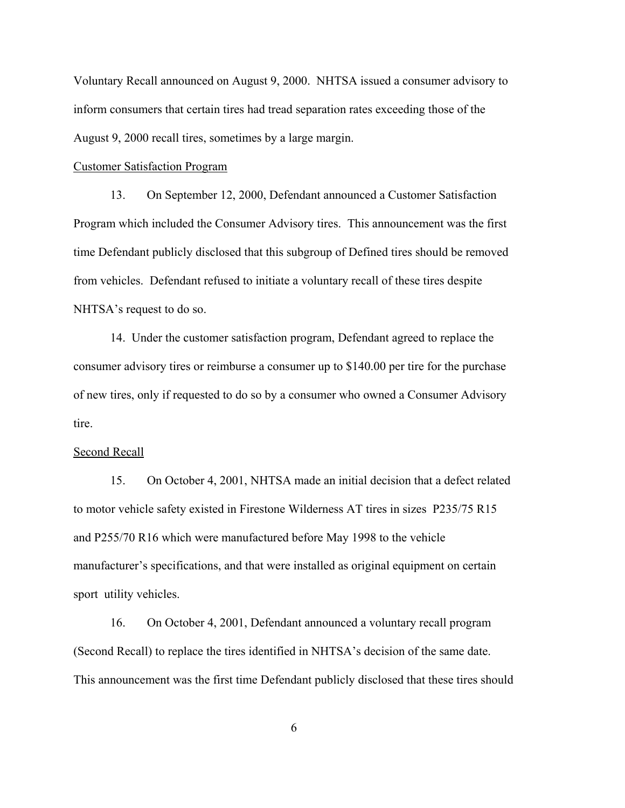Voluntary Recall announced on August 9, 2000. NHTSA issued a consumer advisory to inform consumers that certain tires had tread separation rates exceeding those of the August 9, 2000 recall tires, sometimes by a large margin.

#### Customer Satisfaction Program

13. On September 12, 2000, Defendant announced a Customer Satisfaction Program which included the Consumer Advisory tires. This announcement was the first time Defendant publicly disclosed that this subgroup of Defined tires should be removed from vehicles. Defendant refused to initiate a voluntary recall of these tires despite NHTSA's request to do so.

14. Under the customer satisfaction program, Defendant agreed to replace the consumer advisory tires or reimburse a consumer up to \$140.00 per tire for the purchase of new tires, only if requested to do so by a consumer who owned a Consumer Advisory tire.

## Second Recall

15. On October 4, 2001, NHTSA made an initial decision that a defect related to motor vehicle safety existed in Firestone Wilderness AT tires in sizes P235/75 R15 and P255/70 R16 which were manufactured before May 1998 to the vehicle manufacturer's specifications, and that were installed as original equipment on certain sport utility vehicles.

16. On October 4, 2001, Defendant announced a voluntary recall program (Second Recall) to replace the tires identified in NHTSA's decision of the same date. This announcement was the first time Defendant publicly disclosed that these tires should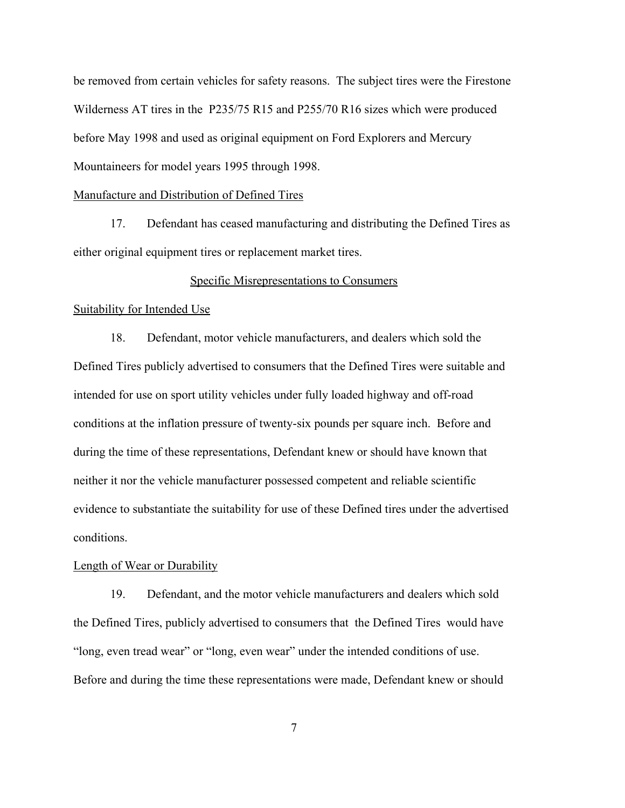be removed from certain vehicles for safety reasons. The subject tires were the Firestone Wilderness AT tires in the P235/75 R15 and P255/70 R16 sizes which were produced before May 1998 and used as original equipment on Ford Explorers and Mercury Mountaineers for model years 1995 through 1998.

#### Manufacture and Distribution of Defined Tires

17. Defendant has ceased manufacturing and distributing the Defined Tires as either original equipment tires or replacement market tires.

# Specific Misrepresentations to Consumers

#### Suitability for Intended Use

18. Defendant, motor vehicle manufacturers, and dealers which sold the Defined Tires publicly advertised to consumers that the Defined Tires were suitable and intended for use on sport utility vehicles under fully loaded highway and off-road conditions at the inflation pressure of twenty-six pounds per square inch. Before and during the time of these representations, Defendant knew or should have known that neither it nor the vehicle manufacturer possessed competent and reliable scientific evidence to substantiate the suitability for use of these Defined tires under the advertised conditions.

## Length of Wear or Durability

19. Defendant, and the motor vehicle manufacturers and dealers which sold the Defined Tires, publicly advertised to consumers that the Defined Tires would have "long, even tread wear" or "long, even wear" under the intended conditions of use. Before and during the time these representations were made, Defendant knew or should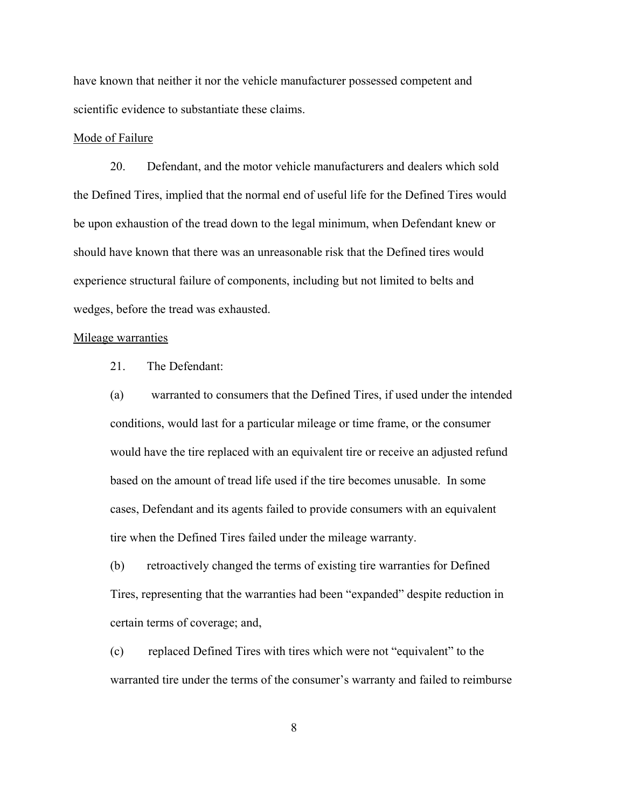have known that neither it nor the vehicle manufacturer possessed competent and scientific evidence to substantiate these claims.

## Mode of Failure

20. Defendant, and the motor vehicle manufacturers and dealers which sold the Defined Tires, implied that the normal end of useful life for the Defined Tires would be upon exhaustion of the tread down to the legal minimum, when Defendant knew or should have known that there was an unreasonable risk that the Defined tires would experience structural failure of components, including but not limited to belts and wedges, before the tread was exhausted.

## Mileage warranties

21. The Defendant:

(a) warranted to consumers that the Defined Tires, if used under the intended conditions, would last for a particular mileage or time frame, or the consumer would have the tire replaced with an equivalent tire or receive an adjusted refund based on the amount of tread life used if the tire becomes unusable. In some cases, Defendant and its agents failed to provide consumers with an equivalent tire when the Defined Tires failed under the mileage warranty.

(b) retroactively changed the terms of existing tire warranties for Defined Tires, representing that the warranties had been "expanded" despite reduction in certain terms of coverage; and,

(c) replaced Defined Tires with tires which were not "equivalent" to the warranted tire under the terms of the consumer's warranty and failed to reimburse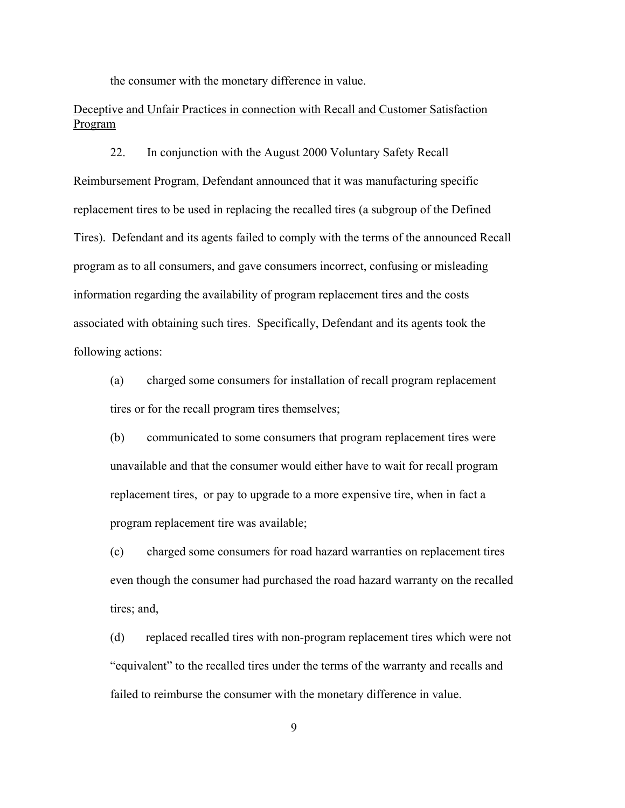the consumer with the monetary difference in value.

# Deceptive and Unfair Practices in connection with Recall and Customer Satisfaction Program

22. In conjunction with the August 2000 Voluntary Safety Recall Reimbursement Program, Defendant announced that it was manufacturing specific replacement tires to be used in replacing the recalled tires (a subgroup of the Defined Tires). Defendant and its agents failed to comply with the terms of the announced Recall program as to all consumers, and gave consumers incorrect, confusing or misleading information regarding the availability of program replacement tires and the costs associated with obtaining such tires. Specifically, Defendant and its agents took the following actions:

(a) charged some consumers for installation of recall program replacement tires or for the recall program tires themselves;

(b) communicated to some consumers that program replacement tires were unavailable and that the consumer would either have to wait for recall program replacement tires, or pay to upgrade to a more expensive tire, when in fact a program replacement tire was available;

(c) charged some consumers for road hazard warranties on replacement tires even though the consumer had purchased the road hazard warranty on the recalled tires; and,

(d) replaced recalled tires with non-program replacement tires which were not "equivalent" to the recalled tires under the terms of the warranty and recalls and failed to reimburse the consumer with the monetary difference in value.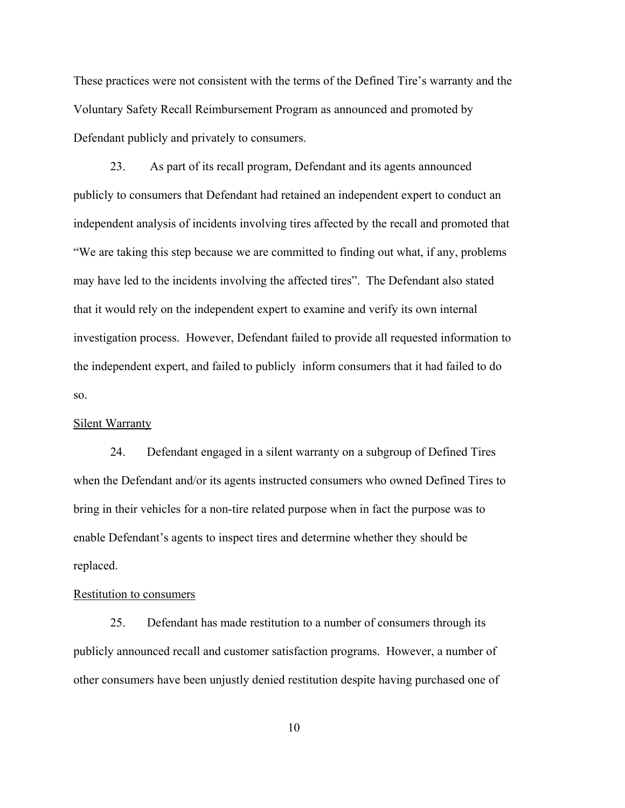These practices were not consistent with the terms of the Defined Tire's warranty and the Voluntary Safety Recall Reimbursement Program as announced and promoted by Defendant publicly and privately to consumers.

23. As part of its recall program, Defendant and its agents announced publicly to consumers that Defendant had retained an independent expert to conduct an independent analysis of incidents involving tires affected by the recall and promoted that "We are taking this step because we are committed to finding out what, if any, problems may have led to the incidents involving the affected tires". The Defendant also stated that it would rely on the independent expert to examine and verify its own internal investigation process. However, Defendant failed to provide all requested information to the independent expert, and failed to publicly inform consumers that it had failed to do so.

### Silent Warranty

24. Defendant engaged in a silent warranty on a subgroup of Defined Tires when the Defendant and/or its agents instructed consumers who owned Defined Tires to bring in their vehicles for a non-tire related purpose when in fact the purpose was to enable Defendant's agents to inspect tires and determine whether they should be replaced.

# Restitution to consumers

25. Defendant has made restitution to a number of consumers through its publicly announced recall and customer satisfaction programs. However, a number of other consumers have been unjustly denied restitution despite having purchased one of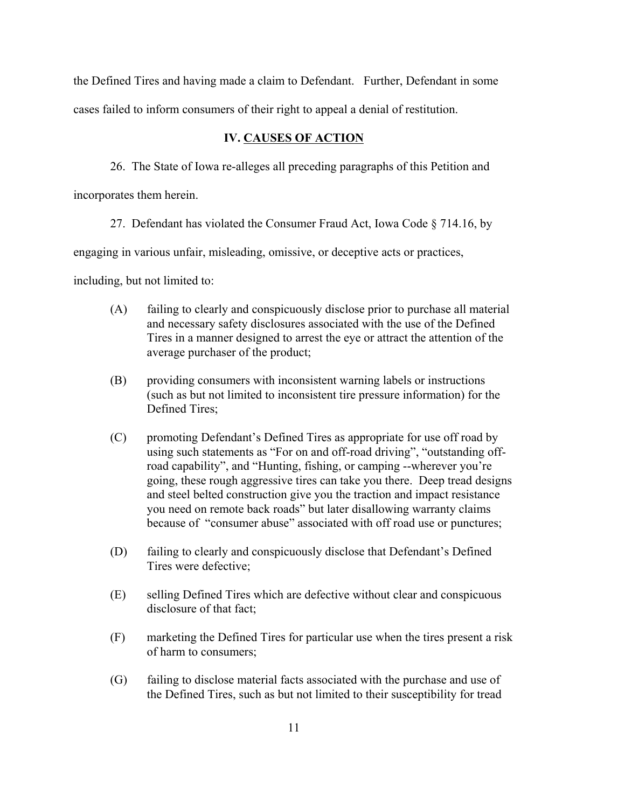the Defined Tires and having made a claim to Defendant. Further, Defendant in some cases failed to inform consumers of their right to appeal a denial of restitution.

# **IV. CAUSES OF ACTION**

26. The State of Iowa re-alleges all preceding paragraphs of this Petition and

incorporates them herein.

27. Defendant has violated the Consumer Fraud Act, Iowa Code § 714.16, by

engaging in various unfair, misleading, omissive, or deceptive acts or practices,

including, but not limited to:

- (A) failing to clearly and conspicuously disclose prior to purchase all material and necessary safety disclosures associated with the use of the Defined Tires in a manner designed to arrest the eye or attract the attention of the average purchaser of the product;
- (B) providing consumers with inconsistent warning labels or instructions (such as but not limited to inconsistent tire pressure information) for the Defined Tires;
- (C) promoting Defendant's Defined Tires as appropriate for use off road by using such statements as "For on and off-road driving", "outstanding offroad capability", and "Hunting, fishing, or camping --wherever you're going, these rough aggressive tires can take you there. Deep tread designs and steel belted construction give you the traction and impact resistance you need on remote back roads" but later disallowing warranty claims because of "consumer abuse" associated with off road use or punctures;
- (D) failing to clearly and conspicuously disclose that Defendant's Defined Tires were defective;
- (E) selling Defined Tires which are defective without clear and conspicuous disclosure of that fact;
- (F) marketing the Defined Tires for particular use when the tires present a risk of harm to consumers;
- (G) failing to disclose material facts associated with the purchase and use of the Defined Tires, such as but not limited to their susceptibility for tread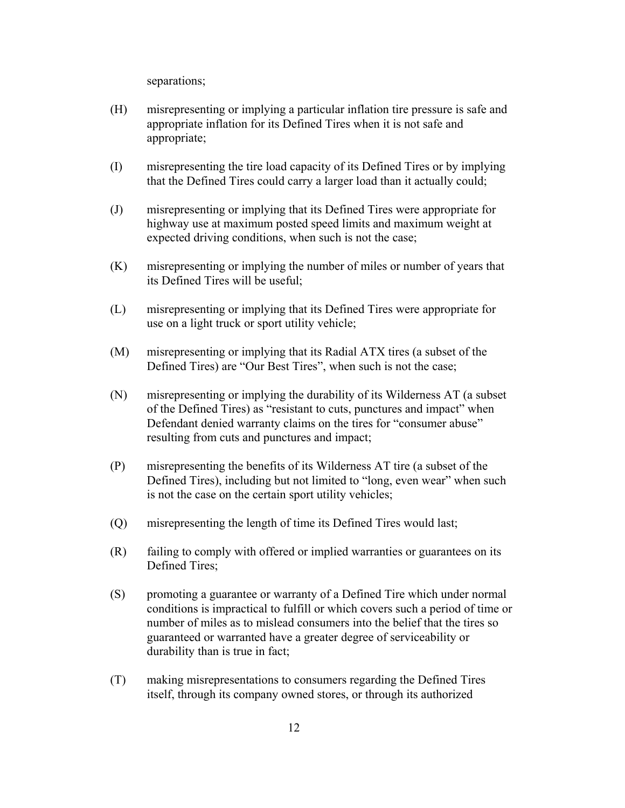separations;

- (H) misrepresenting or implying a particular inflation tire pressure is safe and appropriate inflation for its Defined Tires when it is not safe and appropriate;
- (I) misrepresenting the tire load capacity of its Defined Tires or by implying that the Defined Tires could carry a larger load than it actually could;
- (J) misrepresenting or implying that its Defined Tires were appropriate for highway use at maximum posted speed limits and maximum weight at expected driving conditions, when such is not the case;
- (K) misrepresenting or implying the number of miles or number of years that its Defined Tires will be useful;
- (L) misrepresenting or implying that its Defined Tires were appropriate for use on a light truck or sport utility vehicle;
- (M) misrepresenting or implying that its Radial ATX tires (a subset of the Defined Tires) are "Our Best Tires", when such is not the case;
- (N) misrepresenting or implying the durability of its Wilderness AT (a subset of the Defined Tires) as "resistant to cuts, punctures and impact" when Defendant denied warranty claims on the tires for "consumer abuse" resulting from cuts and punctures and impact;
- (P) misrepresenting the benefits of its Wilderness AT tire (a subset of the Defined Tires), including but not limited to "long, even wear" when such is not the case on the certain sport utility vehicles;
- (Q) misrepresenting the length of time its Defined Tires would last;
- (R) failing to comply with offered or implied warranties or guarantees on its Defined Tires;
- (S) promoting a guarantee or warranty of a Defined Tire which under normal conditions is impractical to fulfill or which covers such a period of time or number of miles as to mislead consumers into the belief that the tires so guaranteed or warranted have a greater degree of serviceability or durability than is true in fact;
- (T) making misrepresentations to consumers regarding the Defined Tires itself, through its company owned stores, or through its authorized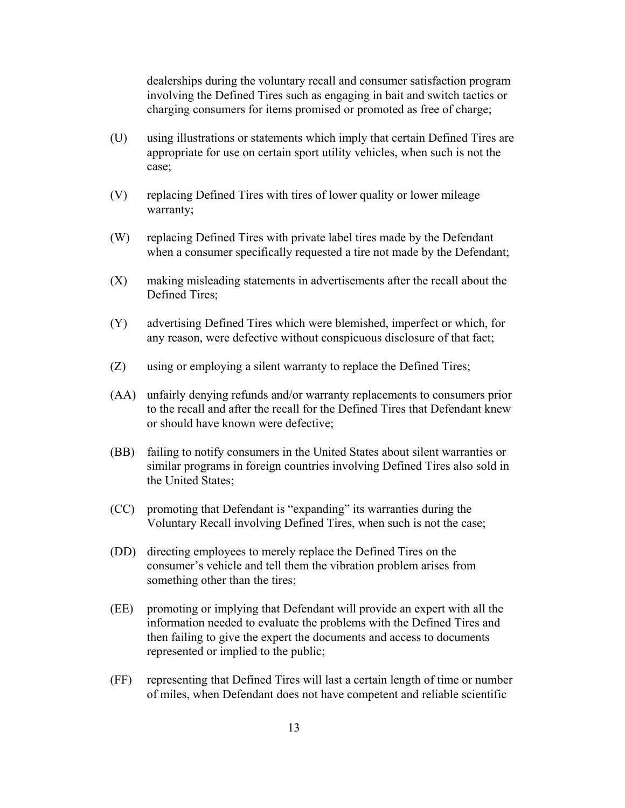dealerships during the voluntary recall and consumer satisfaction program involving the Defined Tires such as engaging in bait and switch tactics or charging consumers for items promised or promoted as free of charge;

- (U) using illustrations or statements which imply that certain Defined Tires are appropriate for use on certain sport utility vehicles, when such is not the case;
- (V) replacing Defined Tires with tires of lower quality or lower mileage warranty;
- (W) replacing Defined Tires with private label tires made by the Defendant when a consumer specifically requested a tire not made by the Defendant;
- (X) making misleading statements in advertisements after the recall about the Defined Tires;
- (Y) advertising Defined Tires which were blemished, imperfect or which, for any reason, were defective without conspicuous disclosure of that fact;
- (Z) using or employing a silent warranty to replace the Defined Tires;
- (AA) unfairly denying refunds and/or warranty replacements to consumers prior to the recall and after the recall for the Defined Tires that Defendant knew or should have known were defective;
- (BB) failing to notify consumers in the United States about silent warranties or similar programs in foreign countries involving Defined Tires also sold in the United States;
- (CC) promoting that Defendant is "expanding" its warranties during the Voluntary Recall involving Defined Tires, when such is not the case;
- (DD) directing employees to merely replace the Defined Tires on the consumer's vehicle and tell them the vibration problem arises from something other than the tires;
- (EE) promoting or implying that Defendant will provide an expert with all the information needed to evaluate the problems with the Defined Tires and then failing to give the expert the documents and access to documents represented or implied to the public;
- (FF) representing that Defined Tires will last a certain length of time or number of miles, when Defendant does not have competent and reliable scientific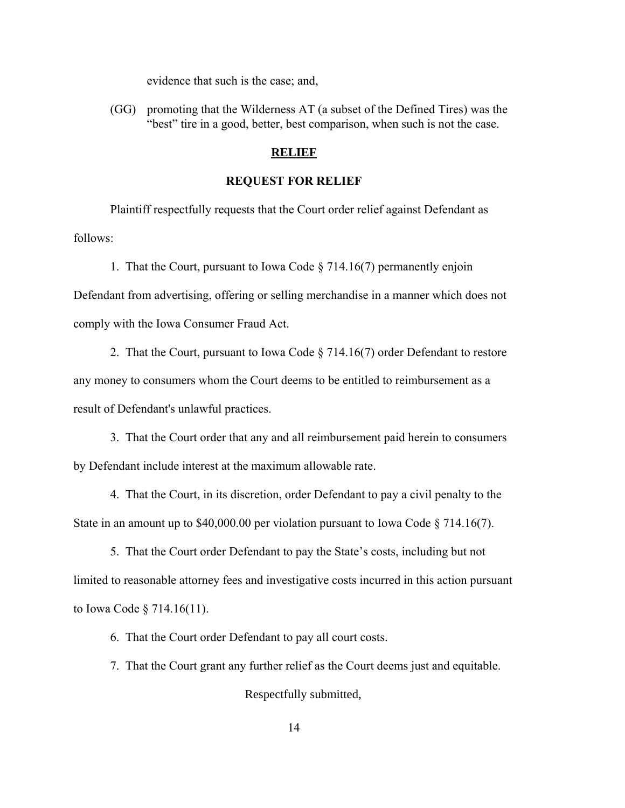evidence that such is the case; and,

(GG) promoting that the Wilderness AT (a subset of the Defined Tires) was the "best" tire in a good, better, best comparison, when such is not the case.

# **RELIEF**

## **REQUEST FOR RELIEF**

Plaintiff respectfully requests that the Court order relief against Defendant as follows:

1. That the Court, pursuant to Iowa Code § 714.16(7) permanently enjoin

Defendant from advertising, offering or selling merchandise in a manner which does not comply with the Iowa Consumer Fraud Act.

2. That the Court, pursuant to Iowa Code § 714.16(7) order Defendant to restore any money to consumers whom the Court deems to be entitled to reimbursement as a result of Defendant's unlawful practices.

3. That the Court order that any and all reimbursement paid herein to consumers by Defendant include interest at the maximum allowable rate.

4. That the Court, in its discretion, order Defendant to pay a civil penalty to the State in an amount up to \$40,000.00 per violation pursuant to Iowa Code § 714.16(7).

5. That the Court order Defendant to pay the State's costs, including but not limited to reasonable attorney fees and investigative costs incurred in this action pursuant to Iowa Code § 714.16(11).

6. That the Court order Defendant to pay all court costs.

7. That the Court grant any further relief as the Court deems just and equitable.

Respectfully submitted,